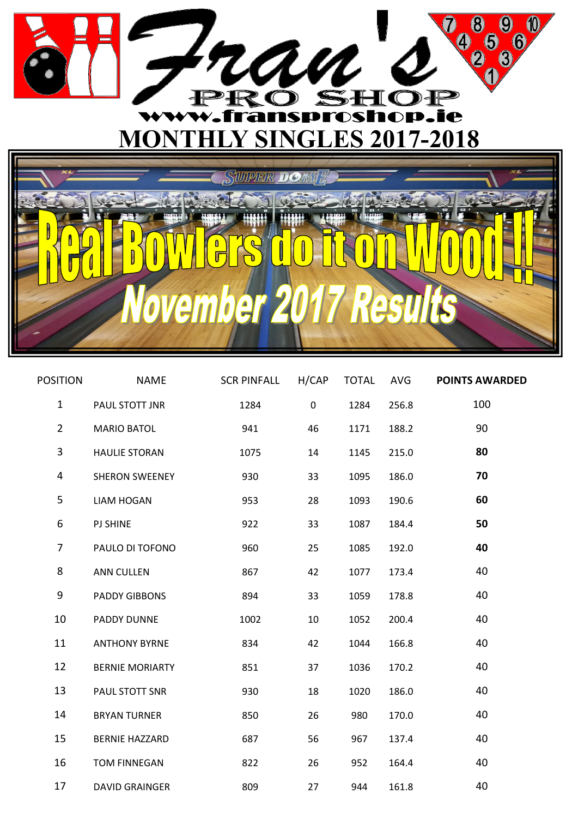

 $\hat{\bm{\theta}}$ 

mr

A

| <b>POSITION</b> | <b>NAME</b>            | <b>SCR PINFALL</b> | H/CAP     | <b>TOTAL</b> | AVG   | <b>POINTS AWARDED</b> |
|-----------------|------------------------|--------------------|-----------|--------------|-------|-----------------------|
| $\mathbf{1}$    | PAUL STOTT JNR         | 1284               | $\pmb{0}$ | 1284         | 256.8 | 100                   |
| $\overline{2}$  | <b>MARIO BATOL</b>     | 941                | 46        | 1171         | 188.2 | 90                    |
| 3               | <b>HAULIE STORAN</b>   | 1075               | 14        | 1145         | 215.0 | 80                    |
| 4               | <b>SHERON SWEENEY</b>  | 930                | 33        | 1095         | 186.0 | 70                    |
| 5               | <b>LIAM HOGAN</b>      | 953                | 28        | 1093         | 190.6 | 60                    |
| 6               | <b>PJ SHINE</b>        | 922                | 33        | 1087         | 184.4 | 50                    |
| $\overline{7}$  | PAULO DI TOFONO        | 960                | 25        | 1085         | 192.0 | 40                    |
| 8               | <b>ANN CULLEN</b>      | 867                | 42        | 1077         | 173.4 | 40                    |
| 9               | <b>PADDY GIBBONS</b>   | 894                | 33        | 1059         | 178.8 | 40                    |
| 10              | PADDY DUNNE            | 1002               | 10        | 1052         | 200.4 | 40                    |
| 11              | <b>ANTHONY BYRNE</b>   | 834                | 42        | 1044         | 166.8 | 40                    |
| 12              | <b>BERNIE MORIARTY</b> | 851                | 37        | 1036         | 170.2 | 40                    |
| 13              | PAUL STOTT SNR         | 930                | 18        | 1020         | 186.0 | 40                    |
| 14              | <b>BRYAN TURNER</b>    | 850                | 26        | 980          | 170.0 | 40                    |
| 15              | <b>BERNIE HAZZARD</b>  | 687                | 56        | 967          | 137.4 | 40                    |
| 16              | <b>TOM FINNEGAN</b>    | 822                | 26        | 952          | 164.4 | 40                    |
| 17              | <b>DAVID GRAINGER</b>  | 809                | 27        | 944          | 161.8 | 40                    |